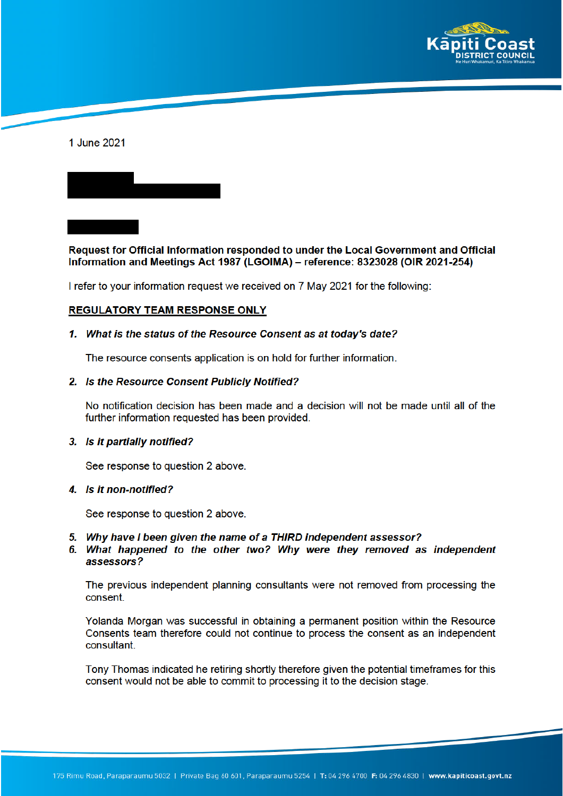

1 June 2021

Request for Official Information responded to under the Local Government and Official Information and Meetings Act 1987 (LGOIMA) - reference: 8323028 (OIR 2021-254)

I refer to your information request we received on 7 May 2021 for the following:

## **REGULATORY TEAM RESPONSE ONLY**

#### 1. What is the status of the Resource Consent as at today's date?

The resource consents application is on hold for further information.

### 2. Is the Resource Consent Publicly Notified?

No notification decision has been made and a decision will not be made until all of the further information requested has been provided.

#### 3. Is it partially notified?

See response to question 2 above.

#### 4. Is it non-notified?

See response to question 2 above.

- 5. Why have I been given the name of a THIRD independent assessor?
- 6. What happened to the other two? Why were they removed as independent assessors?

The previous independent planning consultants were not removed from processing the consent.

Yolanda Morgan was successful in obtaining a permanent position within the Resource Consents team therefore could not continue to process the consent as an independent consultant.

Tony Thomas indicated he retiring shortly therefore given the potential timeframes for this consent would not be able to commit to processing it to the decision stage.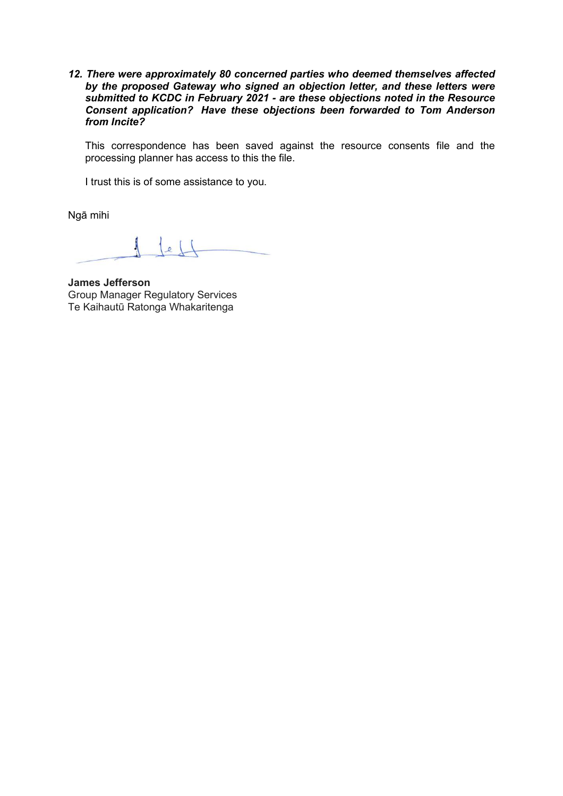*12. There were approximately 80 concerned parties who deemed themselves affected by the proposed Gateway who signed an objection letter, and these letters were submitted to KCDC in February 2021 - are these objections noted in the Resource Consent application? Have these objections been forwarded to Tom Anderson from Incite?*

This correspondence has been saved against the resource consents file and the processing planner has access to this the file.

I trust this is of some assistance to you.

Ngā mihi

 $\left| \quad \right|$ 

**James Jefferson** Group Manager Regulatory Services Te Kaihautū Ratonga Whakaritenga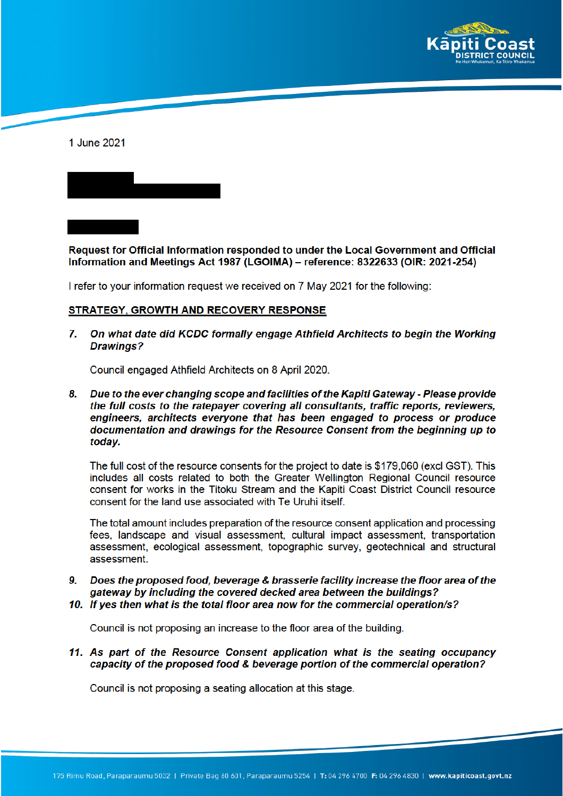

1 June 2021

Request for Official Information responded to under the Local Government and Official Information and Meetings Act 1987 (LGOIMA) – reference: 8322633 (OIR: 2021-254)

I refer to your information request we received on 7 May 2021 for the following:

### STRATEGY, GROWTH AND RECOVERY RESPONSE

7. On what date did KCDC formally engage Athfield Architects to begin the Working **Drawings?** 

Council engaged Athfield Architects on 8 April 2020.

8. Due to the ever changing scope and facilities of the Kapiti Gateway - Please provide the full costs to the ratepayer covering all consultants, traffic reports, reviewers, engineers, architects everyone that has been engaged to process or produce documentation and drawings for the Resource Consent from the beginning up to todav.

The full cost of the resource consents for the project to date is \$179,060 (excl GST). This includes all costs related to both the Greater Wellington Regional Council resource consent for works in the Titoku Stream and the Kapiti Coast District Council resource consent for the land use associated with Te Uruhi itself.

The total amount includes preparation of the resource consent application and processing fees, landscape and visual assessment, cultural impact assessment, transportation assessment, ecological assessment, topographic survey, geotechnical and structural assessment.

- 9. Does the proposed food, beverage & brasserie facility increase the floor area of the gateway by including the covered decked area between the buildings?
- 10. If yes then what is the total floor area now for the commercial operation/s?

Council is not proposing an increase to the floor area of the building.

11. As part of the Resource Consent application what is the seating occupancy capacity of the proposed food & beverage portion of the commercial operation?

Council is not proposing a seating allocation at this stage.